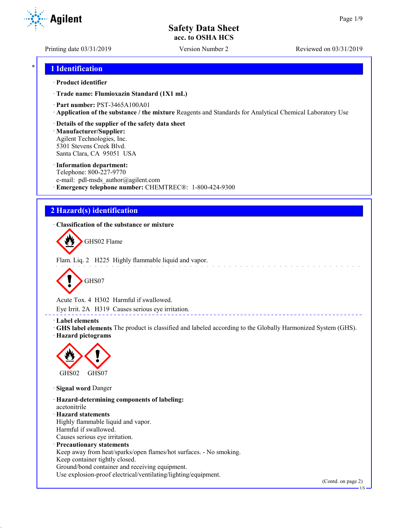Printing date 03/31/2019 Version Number 2 Reviewed on 03/31/2019

# \* **1 Identification**

### · **Product identifier**

· **Trade name: Flumioxazin Standard (1X1 mL)**

- · **Part number:** PST-3465A100A01
- · **Application of the substance / the mixture** Reagents and Standards for Analytical Chemical Laboratory Use
- · **Details of the supplier of the safety data sheet**

· **Manufacturer/Supplier:** Agilent Technologies, Inc. 5301 Stevens Creek Blvd. Santa Clara, CA 95051 USA

### · **Information department:**

Telephone: 800-227-9770 e-mail: pdl-msds author@agilent.com · **Emergency telephone number:** CHEMTREC®: 1-800-424-9300

# **2 Hazard(s) identification**

· **Classification of the substance or mixture**



Flam. Liq. 2 H225 Highly flammable liquid and vapor.



Acute Tox. 4 H302 Harmful if swallowed.

Eye Irrit. 2A H319 Causes serious eye irritation.

### · **Label elements**

· **GHS label elements** The product is classified and labeled according to the Globally Harmonized System (GHS). · **Hazard pictograms**



· **Signal word** Danger

· **Hazard-determining components of labeling:** acetonitrile · **Hazard statements** Highly flammable liquid and vapor. Harmful if swallowed. Causes serious eye irritation. · **Precautionary statements** Keep away from heat/sparks/open flames/hot surfaces. - No smoking. Keep container tightly closed. Ground/bond container and receiving equipment.

Use explosion-proof electrical/ventilating/lighting/equipment.

(Contd. on page 2)

US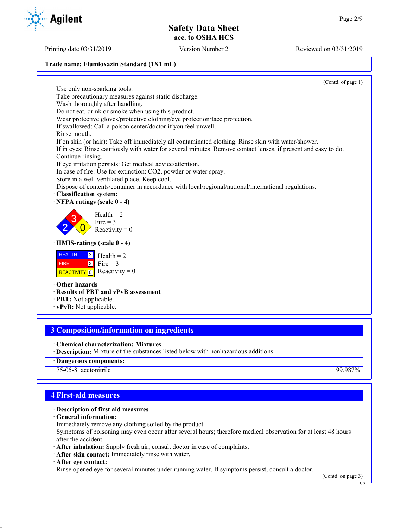Printing date 03/31/2019 Version Number 2 Reviewed on 03/31/2019

### **Trade name: Flumioxazin Standard (1X1 mL)**

(Contd. of page 1)

Use only non-sparking tools. Take precautionary measures against static discharge. Wash thoroughly after handling. Do not eat, drink or smoke when using this product. Wear protective gloves/protective clothing/eye protection/face protection. If swallowed: Call a poison center/doctor if you feel unwell. Rinse mouth. If on skin (or hair): Take off immediately all contaminated clothing. Rinse skin with water/shower. If in eyes: Rinse cautiously with water for several minutes. Remove contact lenses, if present and easy to do. Continue rinsing. If eye irritation persists: Get medical advice/attention. In case of fire: Use for extinction: CO2, powder or water spray. Store in a well-ventilated place. Keep cool. Dispose of contents/container in accordance with local/regional/national/international regulations. · **Classification system:** · **NFPA ratings (scale 0 - 4)** 2 3  $\overline{0}$  $Health = 2$ Fire  $= 3$ Reactivity  $= 0$ · **HMIS-ratings (scale 0 - 4) HEALTH**  FIRE REACTIVITY  $\boxed{0}$  Reactivity = 0 2 3  $Health = 2$ Fire  $= 3$ · **Other hazards** · **Results of PBT and vPvB assessment** · **PBT:** Not applicable.

· **vPvB:** Not applicable.

# **3 Composition/information on ingredients**

- · **Chemical characterization: Mixtures**
- · **Description:** Mixture of the substances listed below with nonhazardous additions.
- · **Dangerous components:**

75-05-8 acetonitrile 99.987%

# **4 First-aid measures**

### · **Description of first aid measures**

- · **General information:**
- Immediately remove any clothing soiled by the product.

Symptoms of poisoning may even occur after several hours; therefore medical observation for at least 48 hours after the accident.

- · **After inhalation:** Supply fresh air; consult doctor in case of complaints.
- · **After skin contact:** Immediately rinse with water.
- · **After eye contact:**

Rinse opened eye for several minutes under running water. If symptoms persist, consult a doctor.

(Contd. on page 3)

US



**Agilent**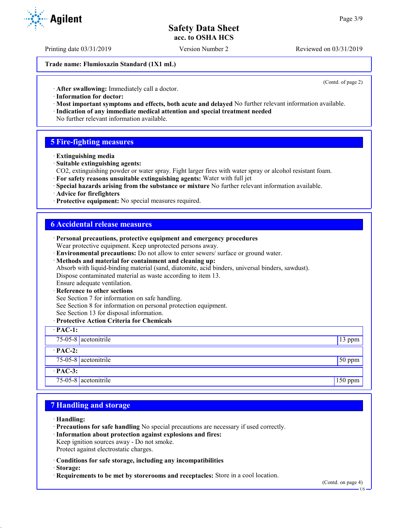Printing date 03/31/2019 Version Number 2 Reviewed on 03/31/2019

**Trade name: Flumioxazin Standard (1X1 mL)**

(Contd. of page 2)

· **After swallowing:** Immediately call a doctor.

- · **Information for doctor:**
- · **Most important symptoms and effects, both acute and delayed** No further relevant information available. · **Indication of any immediate medical attention and special treatment needed**
- No further relevant information available.

### **5 Fire-fighting measures**

- · **Extinguishing media**
- · **Suitable extinguishing agents:**
- CO2, extinguishing powder or water spray. Fight larger fires with water spray or alcohol resistant foam.
- · **For safety reasons unsuitable extinguishing agents:** Water with full jet
- · **Special hazards arising from the substance or mixture** No further relevant information available.
- · **Advice for firefighters**
- · **Protective equipment:** No special measures required.

### **6 Accidental release measures**

| · Personal precautions, protective equipment and emergency procedures                            |           |
|--------------------------------------------------------------------------------------------------|-----------|
| Wear protective equipment. Keep unprotected persons away.                                        |           |
| · Environmental precautions: Do not allow to enter sewers/ surface or ground water.              |           |
| · Methods and material for containment and cleaning up:                                          |           |
| Absorb with liquid-binding material (sand, diatomite, acid binders, universal binders, sawdust). |           |
| Dispose contaminated material as waste according to item 13.                                     |           |
| Ensure adequate ventilation.                                                                     |           |
| · Reference to other sections                                                                    |           |
| See Section 7 for information on safe handling.                                                  |           |
| See Section 8 for information on personal protection equipment.                                  |           |
| See Section 13 for disposal information.                                                         |           |
| · Protective Action Criteria for Chemicals                                                       |           |
| $\cdot$ PAC-1:                                                                                   |           |
| 75-05-8 acetonitrile                                                                             | 13 ppm    |
| $\cdot$ PAC-2:                                                                                   |           |
| $75-05-8$ acetonitrile                                                                           | $50$ ppm  |
| $·$ PAC-3:                                                                                       |           |
| 75-05-8 $ $ acetonitrile                                                                         | $150$ ppm |

### **7 Handling and storage**

- · **Handling:**
- · **Precautions for safe handling** No special precautions are necessary if used correctly.
- · **Information about protection against explosions and fires:**
- Keep ignition sources away Do not smoke.
- Protect against electrostatic charges.
- · **Conditions for safe storage, including any incompatibilities**
- · **Storage:**
- · **Requirements to be met by storerooms and receptacles:** Store in a cool location.



US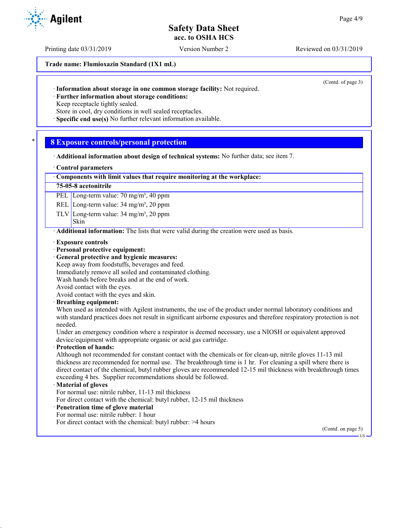Printing date 03/31/2019 Version Number 2 Reviewed on 03/31/2019

**Trade name: Flumioxazin Standard (1X1 mL)**

(Contd. of page 3)

· **Information about storage in one common storage facility:** Not required.

· **Further information about storage conditions:**

Keep receptacle tightly sealed.

Store in cool, dry conditions in well sealed receptacles.

· **Specific end use(s)** No further relevant information available.

### \* **8 Exposure controls/personal protection**

· **Additional information about design of technical systems:** No further data; see item 7.

### · **Control parameters**

### · **Components with limit values that require monitoring at the workplace:**

### **75-05-8 acetonitrile**

PEL Long-term value: 70 mg/m<sup>3</sup>, 40 ppm

REL Long-term value: 34 mg/m<sup>3</sup>, 20 ppm

TLV Long-term value:  $34 \text{ mg/m}^3$ ,  $20 \text{ ppm}$ 

#### Skin

· **Additional information:** The lists that were valid during the creation were used as basis.

- · **Exposure controls**
- · **Personal protective equipment:**
- · **General protective and hygienic measures:**
- Keep away from foodstuffs, beverages and feed.

Immediately remove all soiled and contaminated clothing.

Wash hands before breaks and at the end of work.

Avoid contact with the eyes.

Avoid contact with the eyes and skin.

### · **Breathing equipment:**

When used as intended with Agilent instruments, the use of the product under normal laboratory conditions and with standard practices does not result in significant airborne exposures and therefore respiratory protection is not needed.

Under an emergency condition where a respirator is deemed necessary, use a NIOSH or equivalent approved device/equipment with appropriate organic or acid gas cartridge.

### · **Protection of hands:**

Although not recommended for constant contact with the chemicals or for clean-up, nitrile gloves 11-13 mil thickness are recommended for normal use. The breakthrough time is 1 hr. For cleaning a spill where there is direct contact of the chemical, butyl rubber gloves are recommended 12-15 mil thickness with breakthrough times exceeding 4 hrs. Supplier recommendations should be followed.

### · **Material of gloves**

For normal use: nitrile rubber, 11-13 mil thickness

For direct contact with the chemical: butyl rubber, 12-15 mil thickness

### · **Penetration time of glove material**

For normal use: nitrile rubber: 1 hour

For direct contact with the chemical: butyl rubber: >4 hours

(Contd. on page 5)

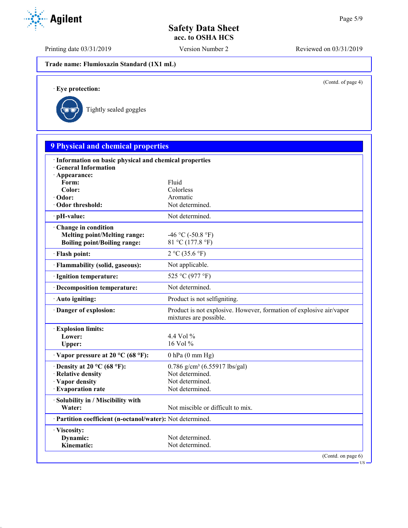Printing date 03/31/2019 Version Number 2 Reviewed on 03/31/2019

**Trade name: Flumioxazin Standard (1X1 mL)**

(Contd. of page 4)

US

· **Eye protection:**



| <b>9 Physical and chemical properties</b>                                        |                                                                                               |
|----------------------------------------------------------------------------------|-----------------------------------------------------------------------------------------------|
| · Information on basic physical and chemical properties<br>· General Information |                                                                                               |
| · Appearance:                                                                    |                                                                                               |
| Form:                                                                            | Fluid                                                                                         |
| Color:                                                                           | Colorless                                                                                     |
| · Odor:                                                                          | Aromatic<br>Not determined.                                                                   |
| Odor threshold:                                                                  |                                                                                               |
| pH-value:                                                                        | Not determined.                                                                               |
| Change in condition                                                              |                                                                                               |
| <b>Melting point/Melting range:</b>                                              | -46 °C (-50.8 °F)                                                                             |
| <b>Boiling point/Boiling range:</b>                                              | 81 °C (177.8 °F)                                                                              |
| · Flash point:                                                                   | 2 °C (35.6 °F)                                                                                |
| · Flammability (solid, gaseous):                                                 | Not applicable.                                                                               |
| · Ignition temperature:                                                          | 525 °C (977 °F)                                                                               |
| · Decomposition temperature:                                                     | Not determined.                                                                               |
| · Auto igniting:                                                                 | Product is not selfigniting.                                                                  |
| Danger of explosion:                                                             | Product is not explosive. However, formation of explosive air/vapor<br>mixtures are possible. |
| <b>Explosion limits:</b>                                                         |                                                                                               |
| Lower:                                                                           | 4.4 Vol $\%$                                                                                  |
| Upper:                                                                           | $16$ Vol $%$                                                                                  |
| $\cdot$ Vapor pressure at 20 °C (68 °F):                                         | $0$ hPa $(0$ mm Hg)                                                                           |
| $\cdot$ Density at 20 °C (68 °F):                                                | $0.786$ g/cm <sup>3</sup> (6.55917 lbs/gal)                                                   |
| · Relative density                                                               | Not determined.                                                                               |
| · Vapor density                                                                  | Not determined.                                                                               |
| · Evaporation rate                                                               | Not determined.                                                                               |
| · Solubility in / Miscibility with                                               |                                                                                               |
| Water:                                                                           | Not miscible or difficult to mix.                                                             |
| · Partition coefficient (n-octanol/water): Not determined.                       |                                                                                               |
| · Viscosity:                                                                     |                                                                                               |
| Dynamic:                                                                         | Not determined.                                                                               |
| Kinematic:                                                                       | Not determined.                                                                               |

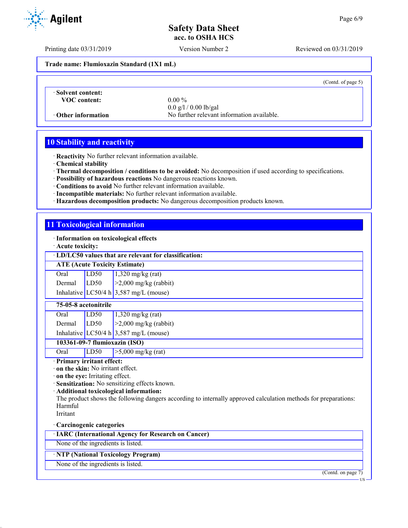Printing date 03/31/2019 Version Number 2 Reviewed on 03/31/2019

**Trade name: Flumioxazin Standard (1X1 mL)**

(Contd. of page 5)

· **Solvent content: VOC content:** 0.00 %

0.0 g/l / 0.00 lb/gal · **Other information** No further relevant information available.

# **10 Stability and reactivity**

· **Reactivity** No further relevant information available.

· **Chemical stability**

- · **Thermal decomposition / conditions to be avoided:** No decomposition if used according to specifications.
- · **Possibility of hazardous reactions** No dangerous reactions known.
- · **Conditions to avoid** No further relevant information available.
- · **Incompatible materials:** No further relevant information available.
- · **Hazardous decomposition products:** No dangerous decomposition products known.

### **11 Toxicological information**

· **Information on toxicological effects**

· **Acute toxicity:**

### · **LD/LC50 values that are relevant for classification:**

**ATE (Acute Toxicity Estimate)**

| Oral   | LD50 | $1,320$ mg/kg (rat)                      |
|--------|------|------------------------------------------|
| Dermal | LD50 | $\geq$ 2,000 mg/kg (rabbit)              |
|        |      | Inhalative LC50/4 h $3,587$ mg/L (mouse) |

### **75-05-8 acetonitrile**

| Oral   | LD50 | $1,320$ mg/kg (rat)                      |
|--------|------|------------------------------------------|
| Dermal | LD50 | $\vert$ >2,000 mg/kg (rabbit)            |
|        |      | Inhalative LC50/4 h $3,587$ mg/L (mouse) |

### **103361-09-7 flumioxazin (ISO)**

Oral LD50 >5,000 mg/kg (rat)

· **Primary irritant effect:**

· **on the skin:** No irritant effect.

· **on the eye:** Irritating effect.

· **Sensitization:** No sensitizing effects known.

· **Additional toxicological information:**

The product shows the following dangers according to internally approved calculation methods for preparations: Harmful

Irritant

· **Carcinogenic categories**

· **IARC (International Agency for Research on Cancer)**

None of the ingredients is listed.

### · **NTP (National Toxicology Program)**

None of the ingredients is listed.

(Contd. on page 7)

US

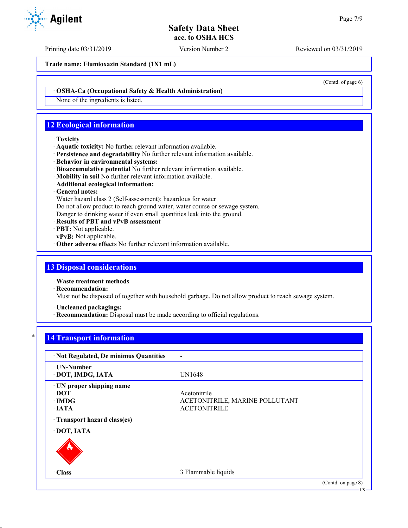Printing date 03/31/2019 Version Number 2 Reviewed on 03/31/2019

**Trade name: Flumioxazin Standard (1X1 mL)**

(Contd. of page 6)

· **OSHA-Ca (Occupational Safety & Health Administration)**

None of the ingredients is listed.

# **12 Ecological information**

### · **Toxicity**

- · **Aquatic toxicity:** No further relevant information available.
- · **Persistence and degradability** No further relevant information available.
- · **Behavior in environmental systems:**
- · **Bioaccumulative potential** No further relevant information available.
- · **Mobility in soil** No further relevant information available.
- · **Additional ecological information:**

### · **General notes:**

Water hazard class 2 (Self-assessment): hazardous for water

Do not allow product to reach ground water, water course or sewage system.

Danger to drinking water if even small quantities leak into the ground.

- · **Results of PBT and vPvB assessment**
- · **PBT:** Not applicable.
- · **vPvB:** Not applicable.
- · **Other adverse effects** No further relevant information available.

# **13 Disposal considerations**

· **Waste treatment methods**

· **Recommendation:**

Must not be disposed of together with household garbage. Do not allow product to reach sewage system.

· **Uncleaned packagings:**

· **Recommendation:** Disposal must be made according to official regulations.

# **14 Transport information**

| · Not Regulated, De minimus Quantities                                   |                                                                       |                            |
|--------------------------------------------------------------------------|-----------------------------------------------------------------------|----------------------------|
| ⋅ UN-Number<br>· DOT, IMDG, IATA                                         | UN1648                                                                |                            |
| · UN proper shipping name<br>$\cdot$ DOT<br>$\cdot$ IMDG<br>$\cdot$ IATA | Acetonitrile<br>ACETONITRILE, MARINE POLLUTANT<br><b>ACETONITRILE</b> |                            |
| Transport hazard class(es)<br>· DOT, IATA                                |                                                                       |                            |
| · Class                                                                  | 3 Flammable liquids                                                   |                            |
|                                                                          |                                                                       | (Contd. on page 8)<br>- US |

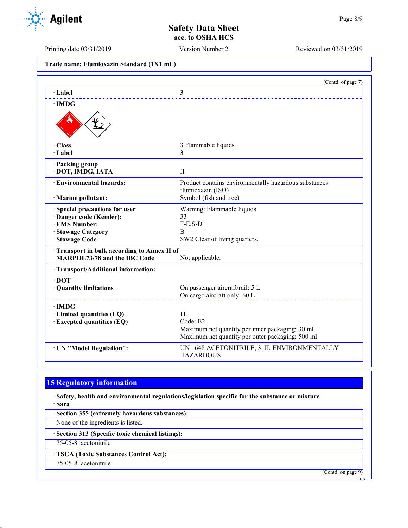Printing date 03/31/2019 Version Number 2 Reviewed on 03/31/2019

|  | Trade name: Flumioxazin Standard (1X1 mL) |  |  |
|--|-------------------------------------------|--|--|
|--|-------------------------------------------|--|--|

| 3<br>· Label<br>$\cdot$ IMDG<br>· Class<br>3 Flammable liquids<br>$\cdot$ Label                         |  |
|---------------------------------------------------------------------------------------------------------|--|
|                                                                                                         |  |
|                                                                                                         |  |
|                                                                                                         |  |
|                                                                                                         |  |
| 3                                                                                                       |  |
| · Packing group<br>· DOT, IMDG, IATA<br>$\mathbf{I}$                                                    |  |
| · Environmental hazards:<br>Product contains environmentally hazardous substances:<br>flumioxazin (ISO) |  |
| Symbol (fish and tree)<br>· Marine pollutant:                                                           |  |
| Warning: Flammable liquids<br>Special precautions for user                                              |  |
| 33<br>· Danger code (Kemler):                                                                           |  |
| · EMS Number:<br>$F-E,S-D$                                                                              |  |
| B<br>· Stowage Category                                                                                 |  |
| · Stowage Code<br>SW2 Clear of living quarters.                                                         |  |
| Transport in bulk according to Annex II of<br><b>MARPOL73/78 and the IBC Code</b><br>Not applicable.    |  |
| · Transport/Additional information:                                                                     |  |
| $\cdot$ DOT                                                                                             |  |
| On passenger aircraft/rail: 5 L<br>· Quantity limitations                                               |  |
| On cargo aircraft only: 60 L                                                                            |  |
| $\cdot$ IMDG                                                                                            |  |
| 1L<br>· Limited quantities (LQ)                                                                         |  |
| Code: E2<br><b>Excepted quantities (EQ)</b>                                                             |  |
| Maximum net quantity per inner packaging: 30 ml                                                         |  |
| Maximum net quantity per outer packaging: 500 ml                                                        |  |
| UN 1648 ACETONITRILE, 3, II, ENVIRONMENTALLY<br>· UN "Model Regulation":<br><b>HAZARDOUS</b>            |  |

# **15 Regulatory information**

· **Safety, health and environmental regulations/legislation specific for the substance or mixture** · **Sara**

· **Section 355 (extremely hazardous substances):** None of the ingredients is listed. · **Section 313 (Specific toxic chemical listings):** 75-05-8 acetonitrile · **TSCA (Toxic Substances Control Act):** 75-05-8 acetonitrile (Contd. on page 9) US